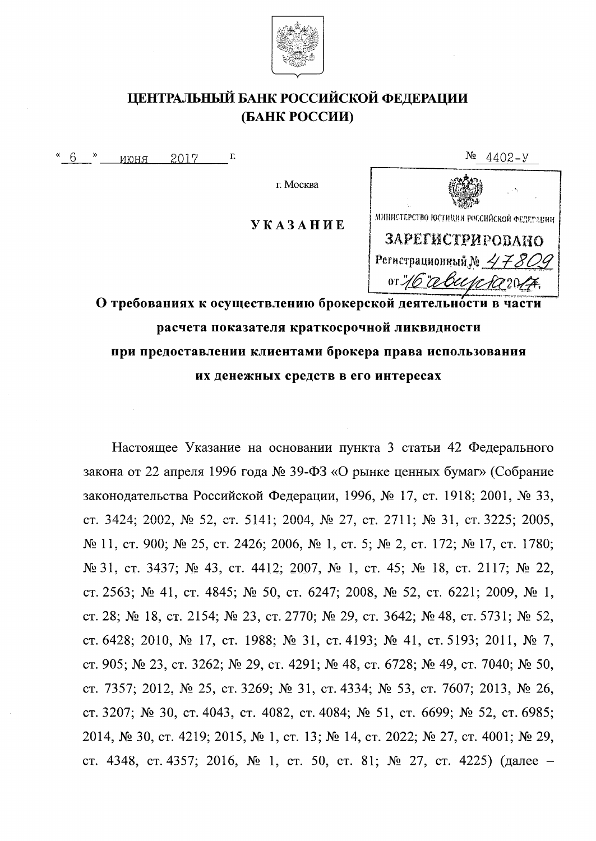

### ЦЕНТРАЛЬНЫЙ БАНК РОССИЙСКОЙ ФЕДЕРАЦИИ (БАНК РОССИИ)

 $\frac{4}{6}$   $\rightarrow$ 2017  $\Gamma$ RHOHN

г. Москва

**УКАЗАНИЕ** 



 $N_2$  4402-y

О требованиях к осуществлению брокерской деятельности в части расчета показателя краткосрочной ликвидности при предоставлении клиентами брокера права использования их денежных средств в его интересах

Настоящее Указание на основании пункта 3 статьи 42 Федерального закона от 22 апреля 1996 года № 39-ФЗ «О рынке ценных бумаг» (Собрание законодательства Российской Федерации, 1996, № 17, ст. 1918; 2001, № 33, ст. 3424; 2002, № 52, ст. 5141; 2004, № 27, ст. 2711; № 31, ст. 3225; 2005, № 11, ст. 900; № 25, ст. 2426; 2006, № 1, ст. 5; № 2, ст. 172; № 17, ст. 1780; № 31, ст. 3437; № 43, ст. 4412; 2007, № 1, ст. 45; № 18, ст. 2117; № 22, ст. 2563; № 41, ст. 4845; № 50, ст. 6247; 2008, № 52, ст. 6221; 2009, № 1, ст. 28; № 18, ст. 2154; № 23, ст. 2770; № 29, ст. 3642; № 48, ст. 5731; № 52, ст. 6428; 2010, № 17, ст. 1988; № 31, ст. 4193; № 41, ст. 5193; 2011, № 7, ст. 905; № 23, ст. 3262; № 29, ст. 4291; № 48, ст. 6728; № 49, ст. 7040; № 50, ст. 7357; 2012, № 25, ст. 3269; № 31, ст. 4334; № 53, ст. 7607; 2013, № 26, ст. 3207; № 30, ст. 4043, ст. 4082, ст. 4084; № 51, ст. 6699; № 52, ст. 6985; 2014, № 30, ст. 4219; 2015, № 1, ст. 13; № 14, ст. 2022; № 27, ст. 4001; № 29, ст. 4348, ст. 4357; 2016, № 1, ст. 50, ст. 81; № 27, ст. 4225) (далее –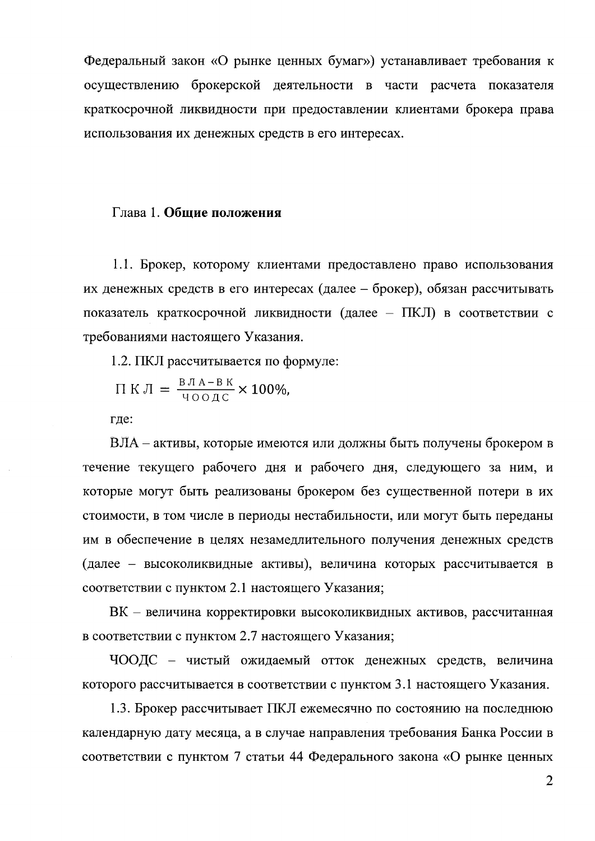Федеральный закон «О рынке ценных бумаг») устанавливает требования к осуществлению брокерской деятельности в части расчета показателя краткосрочной ликвидности при предоставлении клиентами брокера права использования их денежных средств в его интересах.

#### Глава 1. Общие положения

1.1. Брокер, которому клиентами предоставлено право использования их денежных средств в его интересах (далее – брокер), обязан рассчитывать показатель краткосрочной ликвидности (далее - ПКЛ) в соответствии с требованиями настоящего Указания.

1.2. ПКЛ рассчитывается по формуле:

$$
\Pi \text{ K J} = \frac{\text{B J A} - \text{B K}}{\text{400 J C}} \times 100\%,
$$

где:

ВЛА – активы, которые имеются или должны быть получены брокером в течение текущего рабочего дня и рабочего дня, следующего за ним, и которые могут быть реализованы брокером без существенной потери в их стоимости, в том числе в периоды нестабильности, или могут быть переданы им в обеспечение в целях незамедлительного получения денежных средств (далее - высоколиквидные активы), величина которых рассчитывается в соответствии с пунктом 2.1 настоящего Указания;

ВК – величина корректировки высоколиквидных активов, рассчитанная в соответствии с пунктом 2.7 настоящего Указания;

ЧООДС - чистый ожидаемый отток денежных средств, величина которого рассчитывается в соответствии с пунктом 3.1 настоящего Указания.

1.3. Брокер рассчитывает ПКЛ ежемесячно по состоянию на последнюю календарную дату месяца, а в случае направления требования Банка России в соответствии с пунктом 7 статьи 44 Федерального закона «О рынке ценных

 $\overline{2}$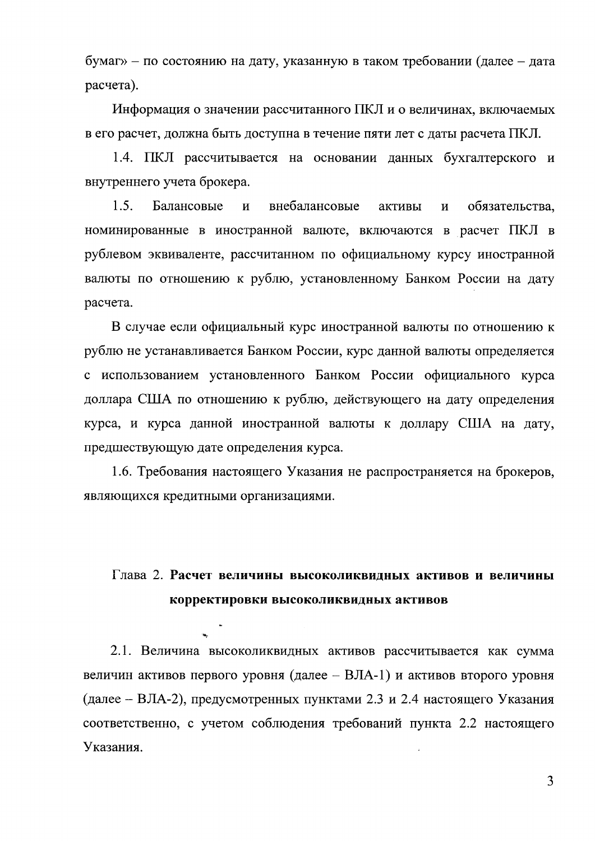бумаг» - по состоянию на дату, указанную в таком требовании (далее - дата расчета).

Информация о значении рассчитанного ПКЛ и о величинах, включаемых в его расчет, должна быть доступна в течение пяти лет с даты расчета ПКЛ.

1.4. ПКЛ рассчитывается на основании данных бухгалтерского и внутреннего учета брокера.

 $1.5.$ Балансовые внебалансовые  $\mathbf{M}$ активы  $\overline{\mathbf{M}}$ обязательства. номинированные в иностранной валюте, включаются в расчет ПКЛ в рублевом эквиваленте, рассчитанном по официальному курсу иностранной валюты по отношению к рублю, установленному Банком России на дату расчета.

В случае если официальный курс иностранной валюты по отношению к рублю не устанавливается Банком России, курс данной валюты определяется с использованием установленного Банком России официального курса доллара США по отношению к рублю, действующего на дату определения курса, и курса данной иностранной валюты к доллару США на дату, предшествующую дате определения курса.

1.6. Требования настоящего Указания не распространяется на брокеров, являющихся кредитными организациями.

# Глава 2. Расчет величины высоколиквидных активов и величины корректировки высоколиквидных активов

2.1. Величина высоколиквидных активов рассчитывается как сумма величин активов первого уровня (далее - ВЛА-1) и активов второго уровня (далее – ВЛА-2), предусмотренных пунктами 2.3 и 2.4 настоящего Указания соответственно, с учетом соблюдения требований пункта 2.2 настоящего Указания.

 $3<sup>1</sup>$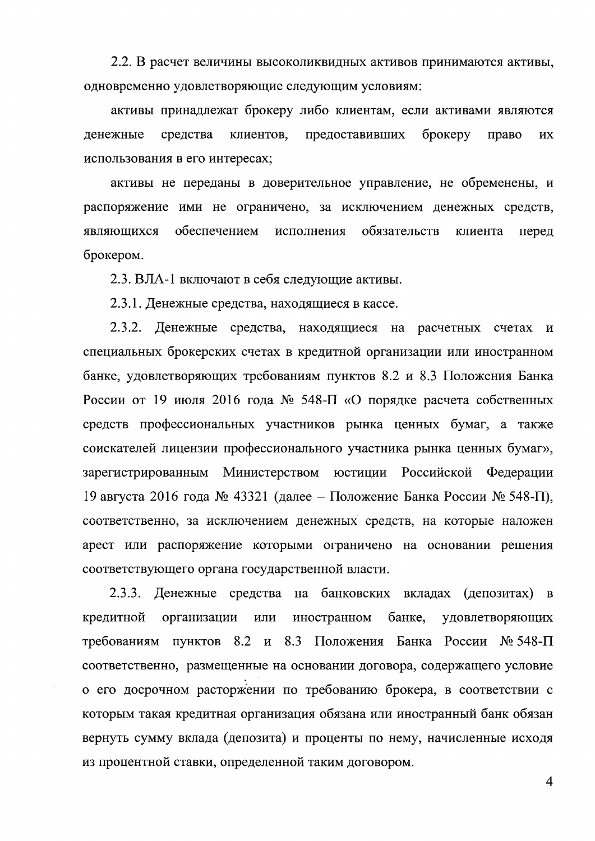2.2. В расчет величины высоколиквидных активов принимаются активы, одновременно удовлетворяющие следующим условиям:

активы принадлежат брокеру либо клиентам, если активами являются денежные средства клиентов, предоставивших брокеру право ИX использования в его интересах;

активы не переданы в доверительное управление, не обременены, и распоряжение ими не ограничено, за исключением денежных средств, обеспечением обязательств являющихся исполнения клиента перед брокером.

2.3. ВЛА-1 включают в себя следующие активы.

2.3.1. Денежные средства, находящиеся в кассе.

2.3.2. Денежные средства, находящиеся на расчетных счетах  $\overline{M}$ специальных брокерских счетах в кредитной организации или иностранном банке, удовлетворяющих требованиям пунктов 8.2 и 8.3 Положения Банка России от 19 июля 2016 года № 548-П «О порядке расчета собственных средств профессиональных участников рынка ценных бумаг, а также соискателей лицензии профессионального участника рынка ценных бумаг», зарегистрированным Министерством юстиции Российской Федерации 19 августа 2016 года № 43321 (далее – Положение Банка России № 548-П), соответственно, за исключением денежных средств, на которые наложен арест или распоряжение которыми ограничено на основании решения соответствующего органа государственной власти.

 $2.3.3.$ Денежные средства на банковских вкладах (депозитах)  $\mathbf{B}$ кредитной организации ИЛИ иностранном банке, удовлетворяющих требованиям пунктов 8.2 и 8.3 Положения Банка России № 548-П соответственно, размещенные на основании договора, содержащего условие о его досрочном расторжении по требованию брокера, в соответствии с которым такая кредитная организация обязана или иностранный банк обязан вернуть сумму вклада (депозита) и проценты по нему, начисленные исходя из процентной ставки, определенной таким договором.

 $\overline{4}$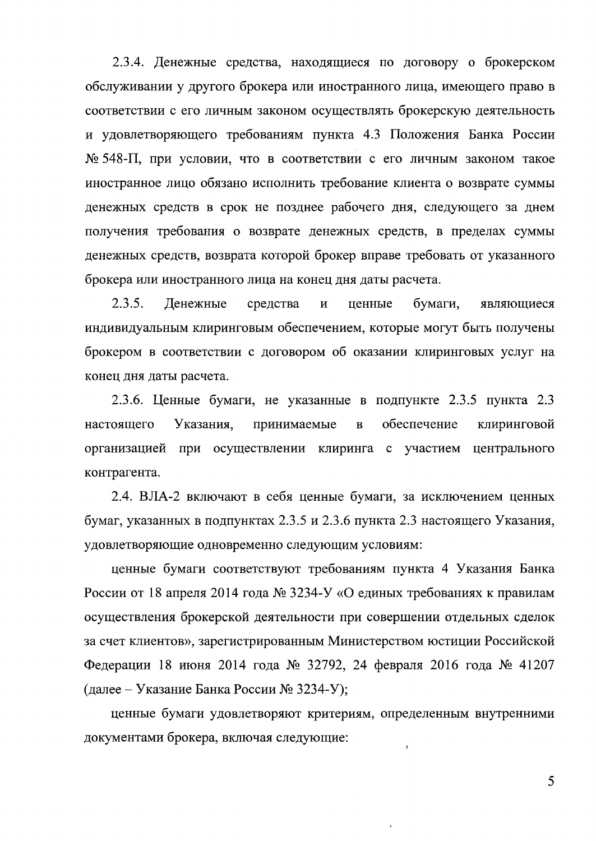2.3.4. Денежные средства, находящиеся по договору о брокерском обслуживании у другого брокера или иностранного лица, имеющего право в соответствии с его личным законом осуществлять брокерскую деятельность и удовлетворяющего требованиям пункта 4.3 Положения Банка России № 548-П, при условии, что в соответствии с его личным законом такое иностранное лицо обязано исполнить требование клиента о возврате суммы денежных средств в срок не позднее рабочего дня, следующего за днем получения требования о возврате денежных средств, в пределах суммы денежных средств, возврата которой брокер вправе требовать от указанного брокера или иностранного лица на конец дня даты расчета.

 $2.3.5.$ Денежные средства  $\boldsymbol{\mathrm{M}}$ ценные бумаги, являющиеся индивидуальным клиринговым обеспечением, которые могут быть получены брокером в соответствии с договором об оказании клиринговых услуг на конец дня даты расчета.

2.3.6. Ценные бумаги, не указанные в подпункте 2.3.5 пункта 2.3 Указания, принимаемые  $\overline{\mathbf{B}}$ обеспечение клиринговой настоящего организацией при осуществлении клиринга с участием центрального контрагента.

2.4. ВЛА-2 включают в себя ценные бумаги, за исключением ценных бумаг, указанных в подпунктах 2.3.5 и 2.3.6 пункта 2.3 настоящего Указания, удовлетворяющие одновременно следующим условиям:

ценные бумаги соответствуют требованиям пункта 4 Указания Банка России от 18 апреля 2014 года № 3234-У «О единых требованиях к правилам осуществления брокерской деятельности при совершении отдельных сделок за счет клиентов», зарегистрированным Министерством юстиции Российской Федерации 18 июня 2014 года № 32792, 24 февраля 2016 года № 41207 (далее – Указание Банка России № 3234-У);

ценные бумаги удовлетворяют критериям, определенным внутренними документами брокера, включая следующие:  $\ddot{\cdot}$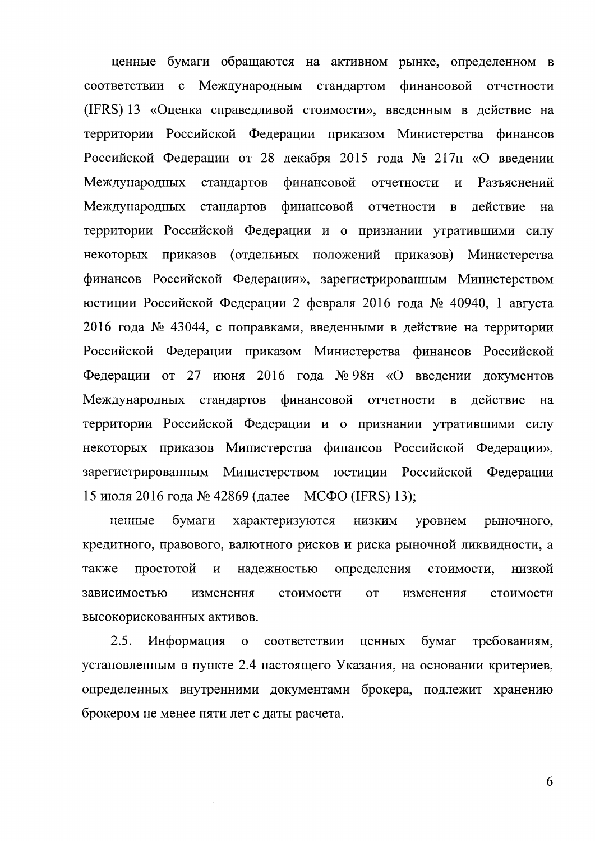ценные бумаги обращаются на активном рынке, определенном в соответствии с Международным стандартом финансовой отчетности (IFRS) 13 «Оценка справедливой стоимости», введенным в действие на территории Российской Федерации приказом Министерства финансов Российской Федерации от 28 декабря 2015 года № 217н «О введении Международных стандартов финансовой отчетности Разъяснений  $\overline{M}$ Международных стандартов финансовой отчетности  $\mathbf{B}$ лействие на территории Российской Федерации и о признании утратившими силу некоторых приказов (отдельных положений приказов) Министерства финансов Российской Федерации», зарегистрированным Министерством юстиции Российской Федерации 2 февраля 2016 года № 40940, 1 августа 2016 года № 43044, с поправками, введенными в действие на территории Российской Федерации приказом Министерства финансов Российской Федерации от 27 июня 2016 года № 98н «О введении документов Международных стандартов финансовой отчетности в действие на территории Российской Федерации и о признании утратившими силу некоторых приказов Министерства финансов Российской Федерации», зарегистрированным Министерством юстиции Российской Федерации 15 июля 2016 года № 42869 (далее – МСФО (IFRS) 13);

ценные бумаги характеризуются **НИЗКИМ** уровнем рыночного, кредитного, правового, валютного рисков и риска рыночной ликвидности, а простотой стоимости, также И надежностью определения низкой зависимостью изменения стоимости изменения стоимости **OT** высокорискованных активов.

 $2.5.$ Информация соответствии ценных бумаг требованиям,  $\mathbf{0}$ установленным в пункте 2.4 настоящего Указания, на основании критериев, определенных внутренними документами брокера, подлежит хранению брокером не менее пяти лет с даты расчета.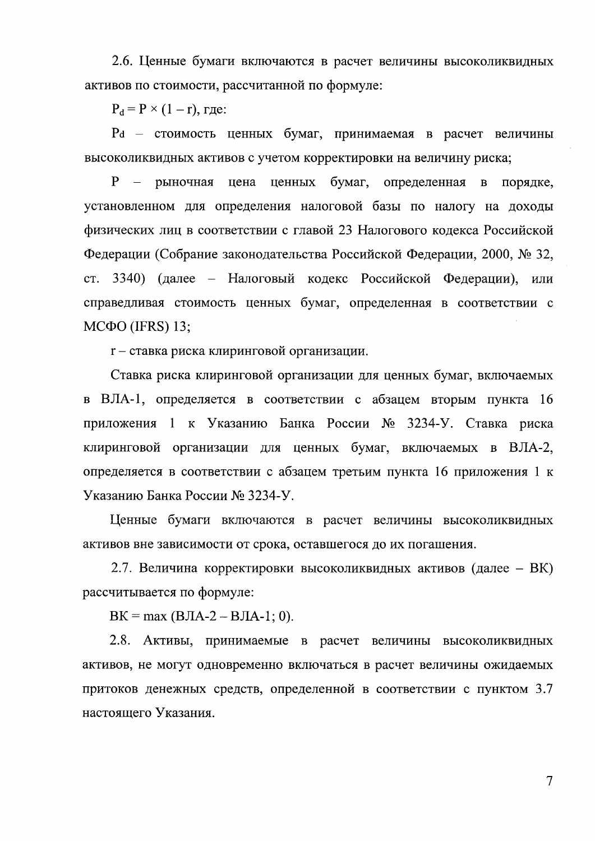2.6. Ценные бумаги включаются в расчет величины высоколиквидных активов по стоимости, рассчитанной по формуле:

 $P_d = P \times (1 - r)$ , rge:

Pd - стоимость ценных бумаг, принимаемая в расчет величины высоколиквидных активов с учетом корректировки на величину риска;

P - рыночная цена ценных бумаг. определенная в порядке, установленном для определения налоговой базы по налогу на доходы физических лиц в соответствии с главой 23 Налогового кодекса Российской Федерации (Собрание законодательства Российской Федерации, 2000, № 32, ст. 3340) (далее – Налоговый кодекс Российской Федерации), или справедливая стоимость ценных бумаг, определенная в соответствии с  $M$ C $\Phi$ O (IFRS) 13;

r - ставка риска клиринговой организации.

Ставка риска клиринговой организации для ценных бумаг, включаемых в ВЛА-1, определяется в соответствии с абзацем вторым пункта 16 приложения 1 к Указанию Банка России № 3234-У. Ставка риска клиринговой организации для ценных бумаг, включаемых в ВЛА-2, определяется в соответствии с абзацем третьим пункта 16 приложения 1 к Указанию Банка России № 3234-У.

Ценные бумаги включаются в расчет величины высоколиквидных активов вне зависимости от срока, оставшегося до их погашения.

2.7. Величина корректировки высоколиквидных активов (далее – ВК) рассчитывается по формуле:

 $BK = max (BJA-2 - BJA-1; 0).$ 

2.8. Активы, принимаемые в расчет величины высоколиквидных активов, не могут одновременно включаться в расчет величины ожидаемых притоков денежных средств, определенной в соответствии с пунктом 3.7 настоящего Указания.

 $\overline{\mathcal{I}}$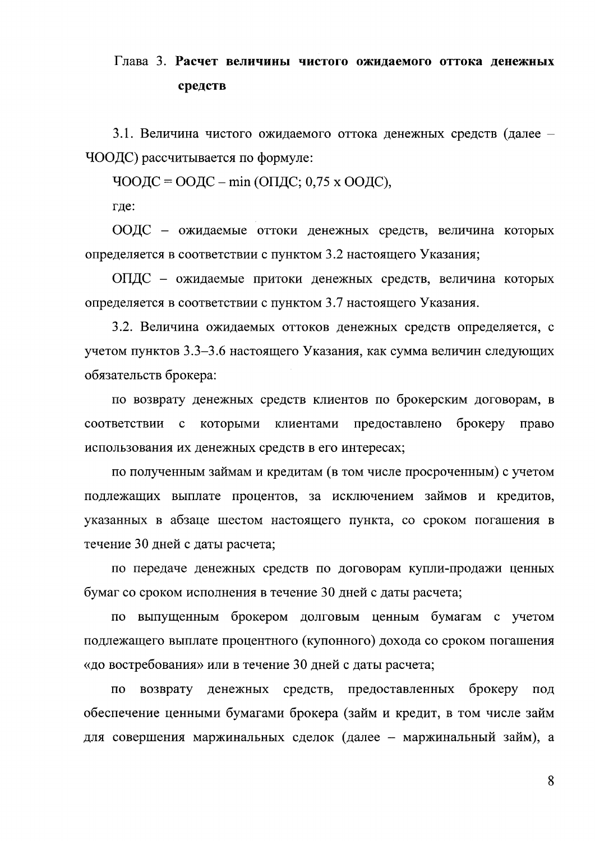# Глава 3. Расчет величины чистого ожидаемого оттока денежных средств

3.1. Величина чистого ожидаемого оттока денежных средств (далее – ЧООДС) рассчитывается по формуле:

ЧООДС = ООДС – min (ОПДС; 0,75 х ООДС),

где:

ООДС - ожидаемые оттоки денежных средств, величина которых определяется в соответствии с пунктом 3.2 настоящего Указания;

ОПДС - ожидаемые притоки денежных средств, величина которых определяется в соответствии с пунктом 3.7 настоящего Указания.

3.2. Величина ожидаемых оттоков денежных средств определяется, с учетом пунктов 3.3-3.6 настоящего Указания, как сумма величин следующих обязательств брокера:

по возврату денежных средств клиентов по брокерским договорам, в брокеру соответствии с которыми клиентами предоставлено право использования их денежных средств в его интересах;

по полученным займам и кредитам (в том числе просроченным) с учетом подлежащих выплате процентов, за исключением займов и кредитов, указанных в абзаце шестом настоящего пункта, со сроком погашения в течение 30 дней с даты расчета;

по передаче денежных средств по договорам купли-продажи ценных бумаг со сроком исполнения в течение 30 дней с даты расчета;

по выпущенным брокером долговым ценным бумагам с учетом подлежащего выплате процентного (купонного) дохода со сроком погашения «до востребования» или в течение 30 дней с даты расчета;

возврату денежных средств, предоставленных брокеру ПО ПОД обеспечение ценными бумагами брокера (займ и кредит, в том числе займ для совершения маржинальных сделок (далее - маржинальный займ), а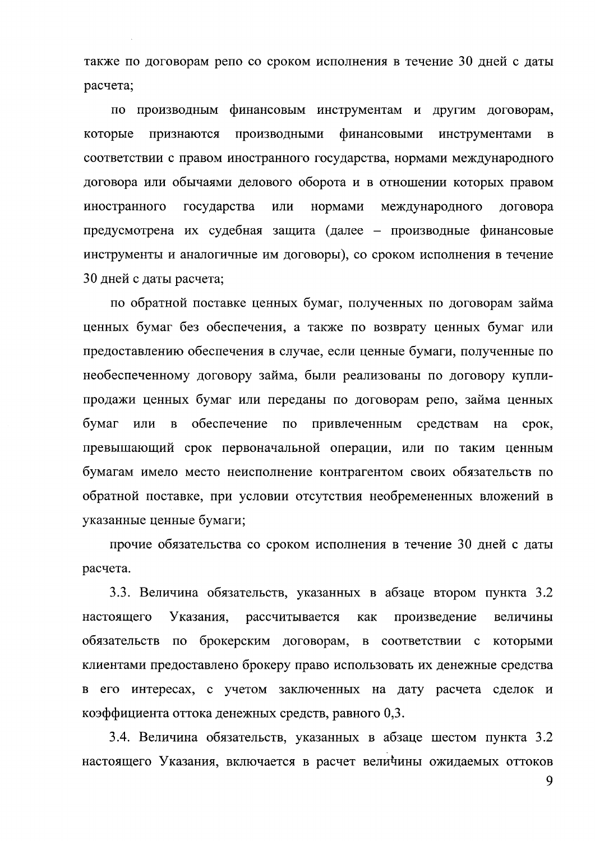также по договорам репо со сроком исполнения в течение 30 дней с даты расчета;

по производным финансовым инструментам и другим договорам, финансовыми которые признаются Производными инструментами  $\bf{B}$ соответствии с правом иностранного государства, нормами международного договора или обычаями делового оборота и в отношении которых правом иностранного государства нормами международного или договора предусмотрена их судебная защита (далее – производные финансовые инструменты и аналогичные им договоры), со сроком исполнения в течение 30 дней с даты расчета;

по обратной поставке ценных бумаг, полученных по договорам займа ценных бумаг без обеспечения, а также по возврату ценных бумаг или предоставлению обеспечения в случае, если ценные бумаги, полученные по необеспеченному договору займа, были реализованы по договору куплипродажи ценных бумаг или переданы по договорам репо, займа ценных обеспечение по бумаг или  $\, {\bf B}$ привлеченным средствам на срок, превышающий срок первоначальной операции, или по таким ценным бумагам имело место неисполнение контрагентом своих обязательств по обратной поставке, при условии отсутствия необремененных вложений в указанные ценные бумаги;

прочие обязательства со сроком исполнения в течение 30 дней с даты расчета.

3.3. Величина обязательств, указанных в абзаце втором пункта 3.2 настояшего Указания, рассчитывается произведение как величины обязательств по брокерским договорам, в соответствии с которыми клиентами предоставлено брокеру право использовать их денежные средства его интересах, с учетом заключенных на дату расчета сделок и  $\mathbf{B}$ коэффициента оттока денежных средств, равного 0,3.

3.4. Величина обязательств, указанных в абзаце шестом пункта 3.2 настоящего Указания, включается в расчет величины ожидаемых оттоков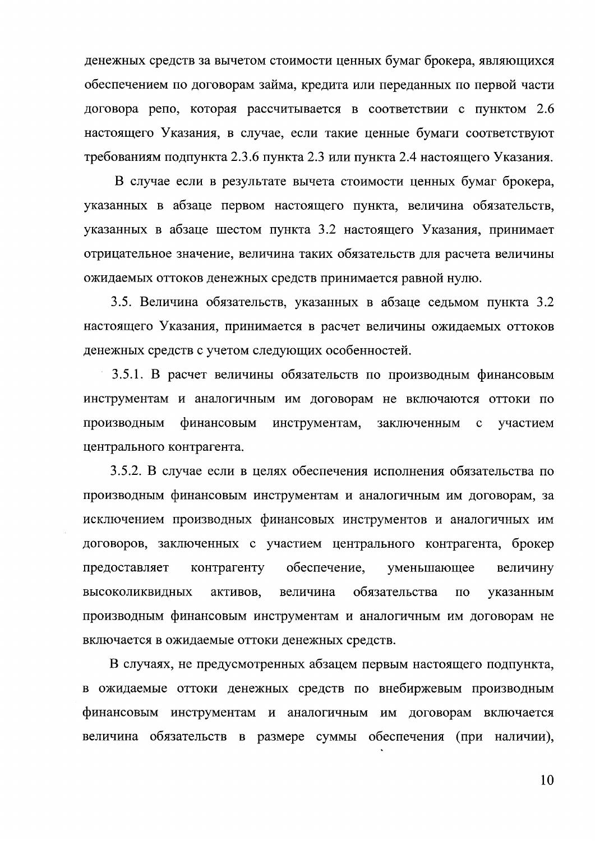денежных средств за вычетом стоимости ценных бумаг брокера, являющихся обеспечением по договорам займа, кредита или переданных по первой части договора репо, которая рассчитывается в соответствии с пунктом 2.6 настоящего Указания, в случае, если такие ценные бумаги соответствуют требованиям подпункта 2.3.6 пункта 2.3 или пункта 2.4 настоящего Указания.

В случае если в результате вычета стоимости ценных бумаг брокера, указанных в абзаце первом настоящего пункта, величина обязательств, указанных в абзаце шестом пункта 3.2 настоящего Указания, принимает отрицательное значение, величина таких обязательств для расчета величины ожидаемых оттоков денежных средств принимается равной нулю.

3.5. Величина обязательств, указанных в абзаце седьмом пункта 3.2 настоящего Указания, принимается в расчет величины ожидаемых оттоков денежных средств с учетом следующих особенностей.

3.5.1. В расчет величины обязательств по производным финансовым инструментам и аналогичным им договорам не включаются оттоки по производным финансовым инструментам, заключенным участием  $\mathbf{C}$ центрального контрагента.

3.5.2. В случае если в целях обеспечения исполнения обязательства по производным финансовым инструментам и аналогичным им договорам, за исключением производных финансовых инструментов и аналогичных им договоров, заключенных с участием центрального контрагента, брокер обеспечение, предоставляет контрагенту уменьшающее величину высоколиквидных активов, величина обязательства  $\Pi$ O указанным производным финансовым инструментам и аналогичным им договорам не включается в ожидаемые оттоки денежных средств.

В случаях, не предусмотренных абзацем первым настоящего подпункта, в ожидаемые оттоки денежных средств по внебиржевым производным финансовым инструментам и аналогичным им договорам включается величина обязательств в размере суммы обеспечения (при наличии),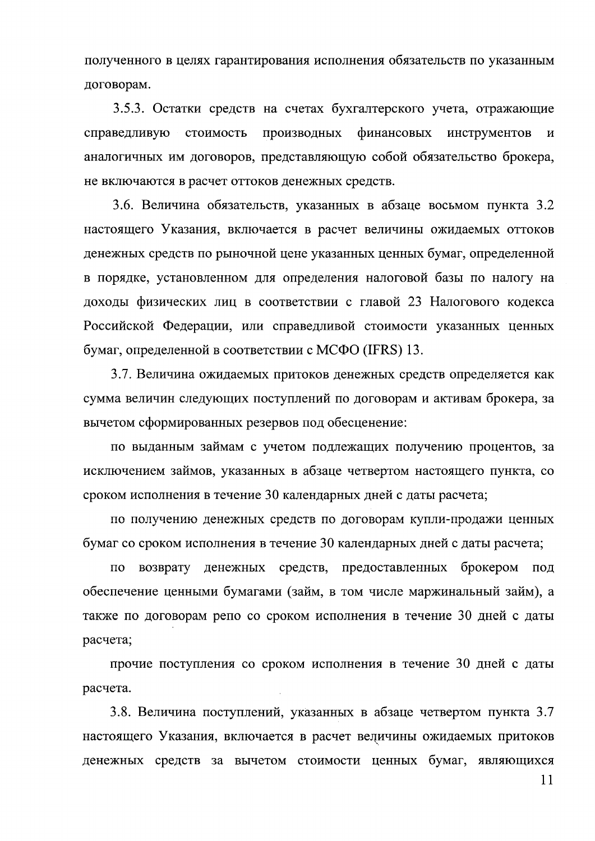полученного в целях гарантирования исполнения обязательств по указанным договорам.

3.5.3. Остатки средств на счетах бухгалтерского учета, отражающие справедливую стоимость производных финансовых инструментов  $\boldsymbol{\mathsf{M}}$ аналогичных им договоров, представляющую собой обязательство брокера, не включаются в расчет оттоков денежных средств.

3.6. Величина обязательств, указанных в абзаце восьмом пункта 3.2 настоящего Указания, включается в расчет величины ожидаемых оттоков денежных средств по рыночной цене указанных ценных бумаг, определенной в порядке, установленном для определения налоговой базы по налогу на доходы физических лиц в соответствии с главой 23 Налогового кодекса Российской Федерации, или справедливой стоимости указанных ценных бумаг, определенной в соответствии с МСФО (IFRS) 13.

3.7. Величина ожидаемых притоков денежных средств определяется как сумма величин следующих поступлений по договорам и активам брокера, за вычетом сформированных резервов под обесценение:

по выданным займам с учетом подлежащих получению процентов, за исключением займов, указанных в абзаце четвертом настоящего пункта, со сроком исполнения в течение 30 календарных дней с даты расчета;

по получению денежных средств по договорам купли-продажи ценных бумаг со сроком исполнения в течение 30 календарных дней с даты расчета;

денежных средств, предоставленных брокером под  $\Pi$ O возврату обеспечение ценными бумагами (займ, в том числе маржинальный займ), а также по договорам репо со сроком исполнения в течение 30 дней с даты расчета;

прочие поступления со сроком исполнения в течение 30 дней с даты расчета.

3.8. Величина поступлений, указанных в абзаце четвертом пункта 3.7 настоящего Указания, включается в расчет величины ожидаемых притоков денежных средств за вычетом стоимости ценных бумаг, являющихся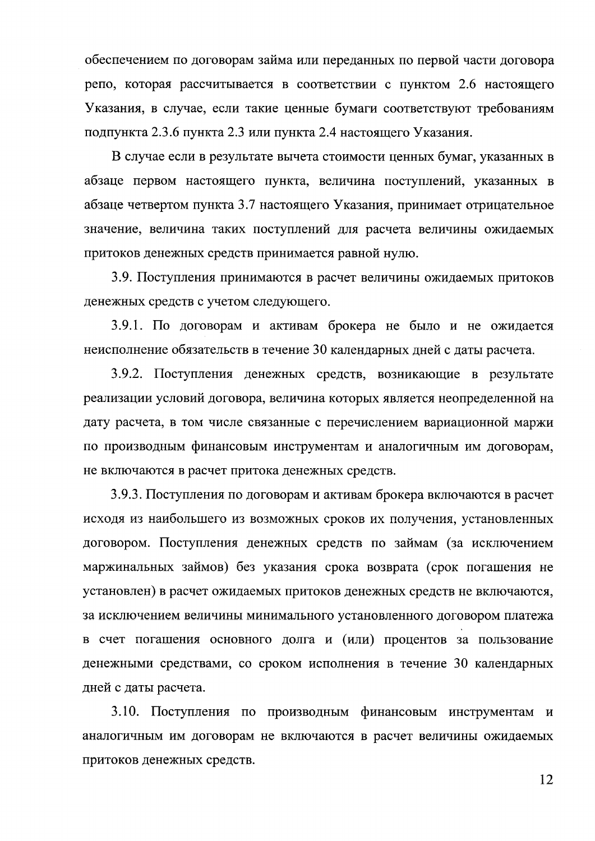обеспечением по договорам займа или переданных по первой части договора репо, которая рассчитывается в соответствии с пунктом 2.6 настоящего Указания, в случае, если такие ценные бумаги соответствуют требованиям подпункта 2.3.6 пункта 2.3 или пункта 2.4 настоящего Указания.

В случае если в результате вычета стоимости ценных бумаг, указанных в абзаце первом настоящего пункта, величина поступлений, указанных в абзаце четвертом пункта 3.7 настоящего Указания, принимает отрицательное значение, величина таких поступлений для расчета величины ожидаемых притоков денежных средств принимается равной нулю.

3.9. Поступления принимаются в расчет величины ожидаемых притоков денежных средств с учетом следующего.

3.9.1. По договорам и активам брокера не было и не ожидается неисполнение обязательств в течение 30 календарных дней с даты расчета.

3.9.2. Поступления денежных средств, возникающие в результате реализации условий договора, величина которых является неопределенной на дату расчета, в том числе связанные с перечислением вариационной маржи по производным финансовым инструментам и аналогичным им договорам, не включаются в расчет притока денежных средств.

3.9.3. Поступления по договорам и активам брокера включаются в расчет исходя из наибольшего из возможных сроков их получения, установленных договором. Поступления денежных средств по займам (за исключением маржинальных займов) без указания срока возврата (срок погашения не установлен) в расчет ожидаемых притоков денежных средств не включаются, за исключением величины минимального установленного договором платежа в счет погашения основного долга и (или) процентов за пользование денежными средствами, со сроком исполнения в течение 30 календарных дней с даты расчета.

3.10. Поступления по производным финансовым инструментам и аналогичным им договорам не включаются в расчет величины ожидаемых притоков денежных средств.